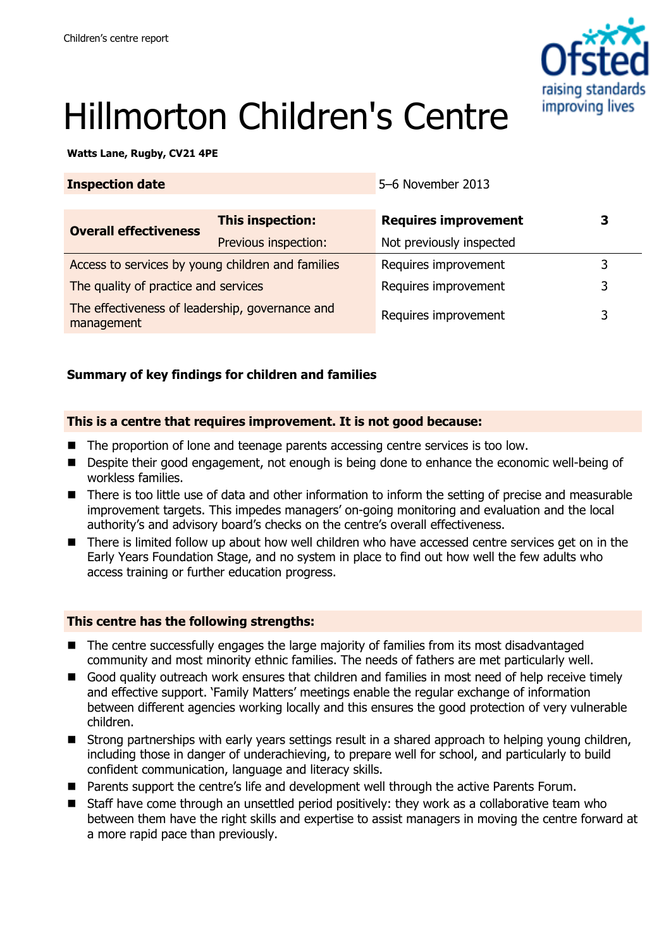

# Hillmorton Children's Centre

**Watts Lane, Rugby, CV21 4PE** 

| <b>Inspection date</b>                                        |                         | 5-6 November 2013           |   |
|---------------------------------------------------------------|-------------------------|-----------------------------|---|
| <b>Overall effectiveness</b>                                  | <b>This inspection:</b> | <b>Requires improvement</b> | 3 |
|                                                               | Previous inspection:    | Not previously inspected    |   |
| Access to services by young children and families             |                         | Requires improvement        | 3 |
| The quality of practice and services                          |                         | Requires improvement        | 3 |
| The effectiveness of leadership, governance and<br>management |                         | Requires improvement        | 3 |

# **Summary of key findings for children and families**

## **This is a centre that requires improvement. It is not good because:**

- The proportion of lone and teenage parents accessing centre services is too low.
- Despite their good engagement, not enough is being done to enhance the economic well-being of workless families.
- There is too little use of data and other information to inform the setting of precise and measurable improvement targets. This impedes managers' on-going monitoring and evaluation and the local authority's and advisory board's checks on the centre's overall effectiveness.
- There is limited follow up about how well children who have accessed centre services get on in the Early Years Foundation Stage, and no system in place to find out how well the few adults who access training or further education progress.

## **This centre has the following strengths:**

- The centre successfully engages the large majority of families from its most disadvantaged community and most minority ethnic families. The needs of fathers are met particularly well.
- Good quality outreach work ensures that children and families in most need of help receive timely and effective support. 'Family Matters' meetings enable the regular exchange of information between different agencies working locally and this ensures the good protection of very vulnerable children.
- Strong partnerships with early years settings result in a shared approach to helping young children, including those in danger of underachieving, to prepare well for school, and particularly to build confident communication, language and literacy skills.
- Parents support the centre's life and development well through the active Parents Forum.
- Staff have come through an unsettled period positively: they work as a collaborative team who between them have the right skills and expertise to assist managers in moving the centre forward at a more rapid pace than previously.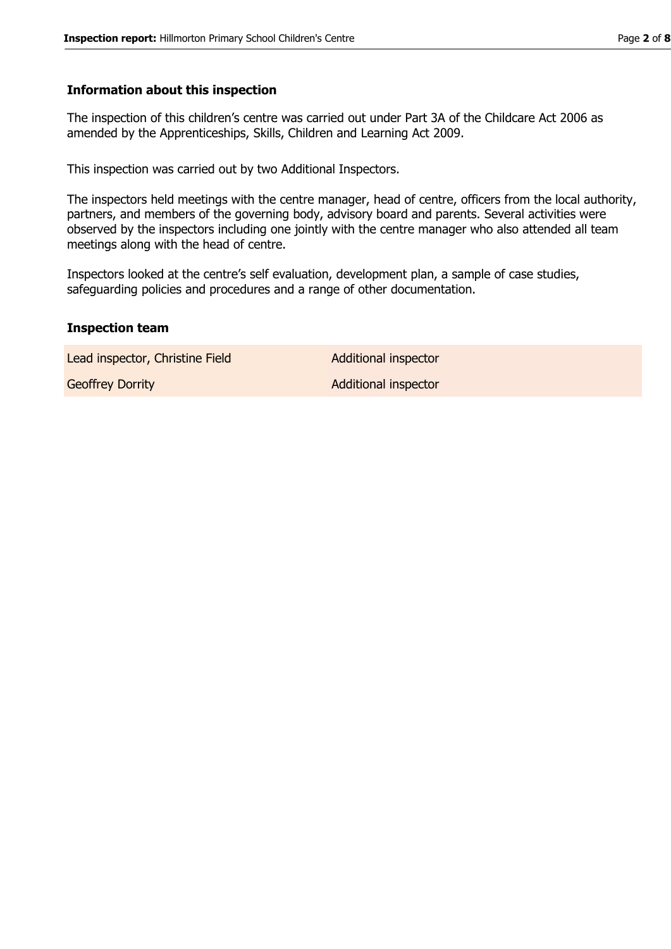#### **Information about this inspection**

The inspection of this children's centre was carried out under Part 3A of the Childcare Act 2006 as amended by the Apprenticeships, Skills, Children and Learning Act 2009.

This inspection was carried out by two Additional Inspectors.

The inspectors held meetings with the centre manager, head of centre, officers from the local authority, partners, and members of the governing body, advisory board and parents. Several activities were observed by the inspectors including one jointly with the centre manager who also attended all team meetings along with the head of centre.

Inspectors looked at the centre's self evaluation, development plan, a sample of case studies, safeguarding policies and procedures and a range of other documentation.

#### **Inspection team**

Lead inspector, Christine Field Additional inspector

Geoffrey Dorrity **Additional inspector**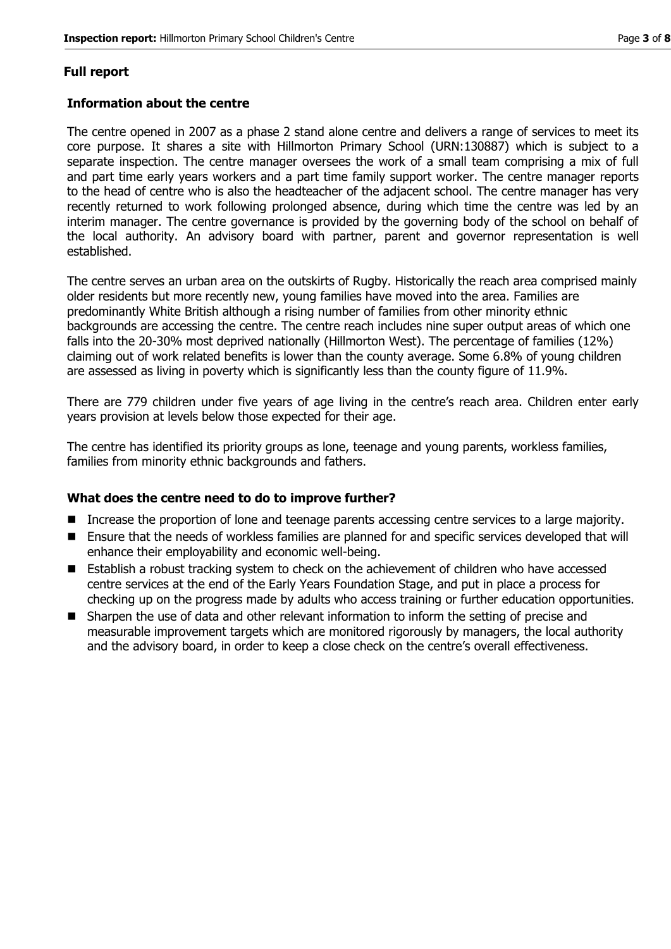# **Full report**

## **Information about the centre**

The centre opened in 2007 as a phase 2 stand alone centre and delivers a range of services to meet its core purpose. It shares a site with Hillmorton Primary School (URN:130887) which is subject to a separate inspection. The centre manager oversees the work of a small team comprising a mix of full and part time early years workers and a part time family support worker. The centre manager reports to the head of centre who is also the headteacher of the adjacent school. The centre manager has very recently returned to work following prolonged absence, during which time the centre was led by an interim manager. The centre governance is provided by the governing body of the school on behalf of the local authority. An advisory board with partner, parent and governor representation is well established.

The centre serves an urban area on the outskirts of Rugby. Historically the reach area comprised mainly older residents but more recently new, young families have moved into the area. Families are predominantly White British although a rising number of families from other minority ethnic backgrounds are accessing the centre. The centre reach includes nine super output areas of which one falls into the 20-30% most deprived nationally (Hillmorton West). The percentage of families (12%) claiming out of work related benefits is lower than the county average. Some 6.8% of young children are assessed as living in poverty which is significantly less than the county figure of 11.9%.

There are 779 children under five years of age living in the centre's reach area. Children enter early years provision at levels below those expected for their age.

The centre has identified its priority groups as lone, teenage and young parents, workless families, families from minority ethnic backgrounds and fathers.

## **What does the centre need to do to improve further?**

- **Increase the proportion of lone and teenage parents accessing centre services to a large majority.**
- Ensure that the needs of workless families are planned for and specific services developed that will enhance their employability and economic well-being.
- Establish a robust tracking system to check on the achievement of children who have accessed centre services at the end of the Early Years Foundation Stage, and put in place a process for checking up on the progress made by adults who access training or further education opportunities.
- Sharpen the use of data and other relevant information to inform the setting of precise and measurable improvement targets which are monitored rigorously by managers, the local authority and the advisory board, in order to keep a close check on the centre's overall effectiveness.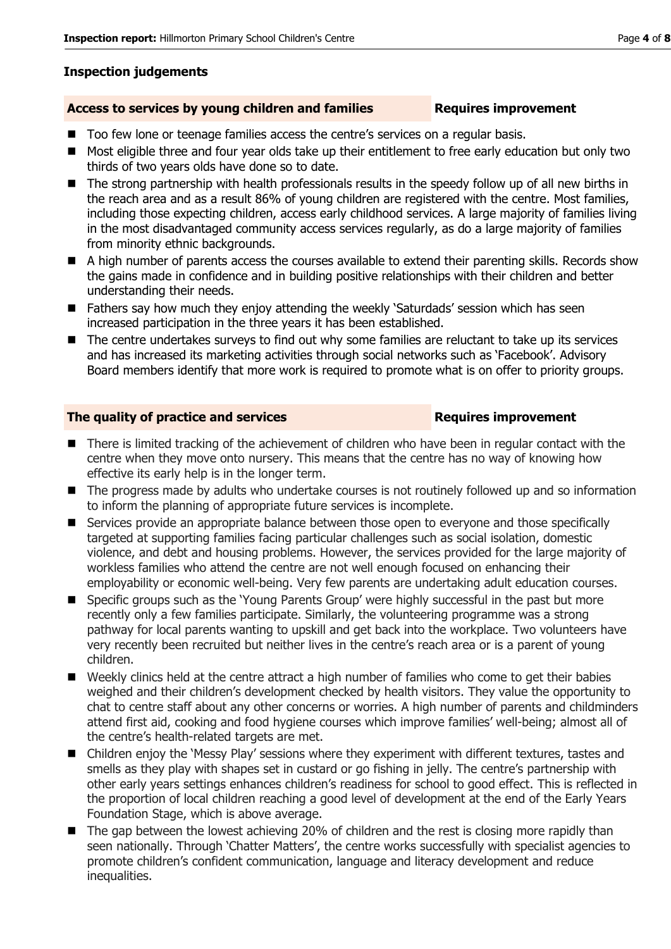# **Inspection judgements**

# Access to services by young children and families **Requires improvement**

- Too few lone or teenage families access the centre's services on a regular basis.
- Most eligible three and four year olds take up their entitlement to free early education but only two thirds of two years olds have done so to date.
- The strong partnership with health professionals results in the speedy follow up of all new births in the reach area and as a result 86% of young children are registered with the centre. Most families, including those expecting children, access early childhood services. A large majority of families living in the most disadvantaged community access services regularly, as do a large majority of families from minority ethnic backgrounds.
- A high number of parents access the courses available to extend their parenting skills. Records show the gains made in confidence and in building positive relationships with their children and better understanding their needs.
- Fathers say how much they enjoy attending the weekly 'Saturdads' session which has seen increased participation in the three years it has been established.
- The centre undertakes surveys to find out why some families are reluctant to take up its services and has increased its marketing activities through social networks such as 'Facebook'. Advisory Board members identify that more work is required to promote what is on offer to priority groups.

# **The quality of practice and services <b>Requires improvement**

- There is limited tracking of the achievement of children who have been in regular contact with the centre when they move onto nursery. This means that the centre has no way of knowing how effective its early help is in the longer term.
- The progress made by adults who undertake courses is not routinely followed up and so information to inform the planning of appropriate future services is incomplete.
- Services provide an appropriate balance between those open to everyone and those specifically targeted at supporting families facing particular challenges such as social isolation, domestic violence, and debt and housing problems. However, the services provided for the large majority of workless families who attend the centre are not well enough focused on enhancing their employability or economic well-being. Very few parents are undertaking adult education courses.
- Specific groups such as the 'Young Parents Group' were highly successful in the past but more recently only a few families participate. Similarly, the volunteering programme was a strong pathway for local parents wanting to upskill and get back into the workplace. Two volunteers have very recently been recruited but neither lives in the centre's reach area or is a parent of young children.
- Weekly clinics held at the centre attract a high number of families who come to get their babies weighed and their children's development checked by health visitors. They value the opportunity to chat to centre staff about any other concerns or worries. A high number of parents and childminders attend first aid, cooking and food hygiene courses which improve families' well-being; almost all of the centre's health-related targets are met.
- Children enjoy the 'Messy Play' sessions where they experiment with different textures, tastes and smells as they play with shapes set in custard or go fishing in jelly. The centre's partnership with other early years settings enhances children's readiness for school to good effect. This is reflected in the proportion of local children reaching a good level of development at the end of the Early Years Foundation Stage, which is above average.
- The gap between the lowest achieving 20% of children and the rest is closing more rapidly than seen nationally. Through 'Chatter Matters', the centre works successfully with specialist agencies to promote children's confident communication, language and literacy development and reduce inequalities.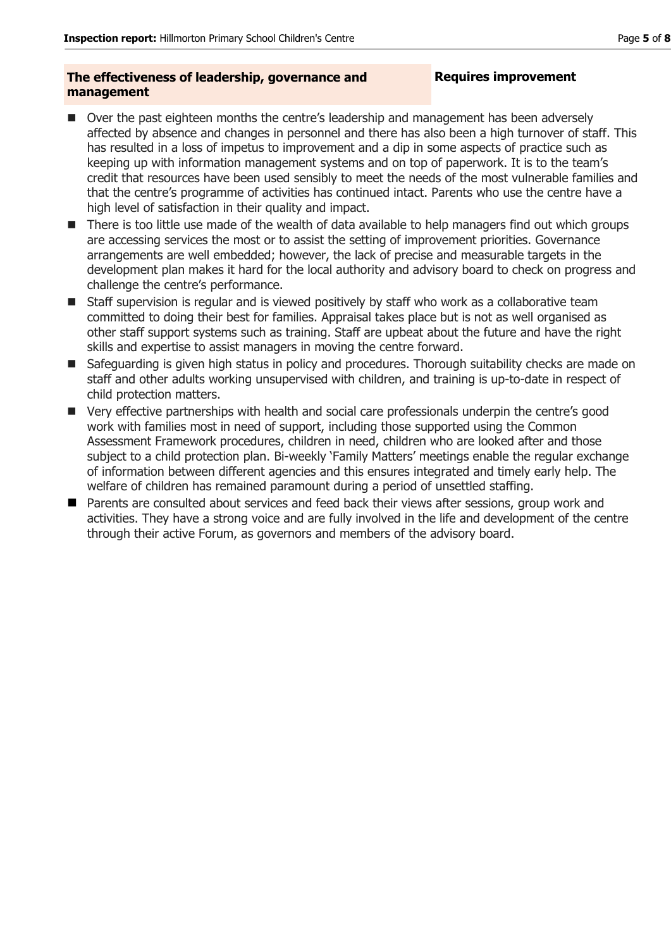## **The effectiveness of leadership, governance and management**

# **Requires improvement**

- Over the past eighteen months the centre's leadership and management has been adversely affected by absence and changes in personnel and there has also been a high turnover of staff. This has resulted in a loss of impetus to improvement and a dip in some aspects of practice such as keeping up with information management systems and on top of paperwork. It is to the team's credit that resources have been used sensibly to meet the needs of the most vulnerable families and that the centre's programme of activities has continued intact. Parents who use the centre have a high level of satisfaction in their quality and impact.
- There is too little use made of the wealth of data available to help managers find out which groups are accessing services the most or to assist the setting of improvement priorities. Governance arrangements are well embedded; however, the lack of precise and measurable targets in the development plan makes it hard for the local authority and advisory board to check on progress and challenge the centre's performance.
- Staff supervision is regular and is viewed positively by staff who work as a collaborative team committed to doing their best for families. Appraisal takes place but is not as well organised as other staff support systems such as training. Staff are upbeat about the future and have the right skills and expertise to assist managers in moving the centre forward.
- Safeguarding is given high status in policy and procedures. Thorough suitability checks are made on staff and other adults working unsupervised with children, and training is up-to-date in respect of child protection matters.
- Very effective partnerships with health and social care professionals underpin the centre's good work with families most in need of support, including those supported using the Common Assessment Framework procedures, children in need, children who are looked after and those subject to a child protection plan. Bi-weekly 'Family Matters' meetings enable the regular exchange of information between different agencies and this ensures integrated and timely early help. The welfare of children has remained paramount during a period of unsettled staffing.
- **Parents are consulted about services and feed back their views after sessions, group work and** activities. They have a strong voice and are fully involved in the life and development of the centre through their active Forum, as governors and members of the advisory board.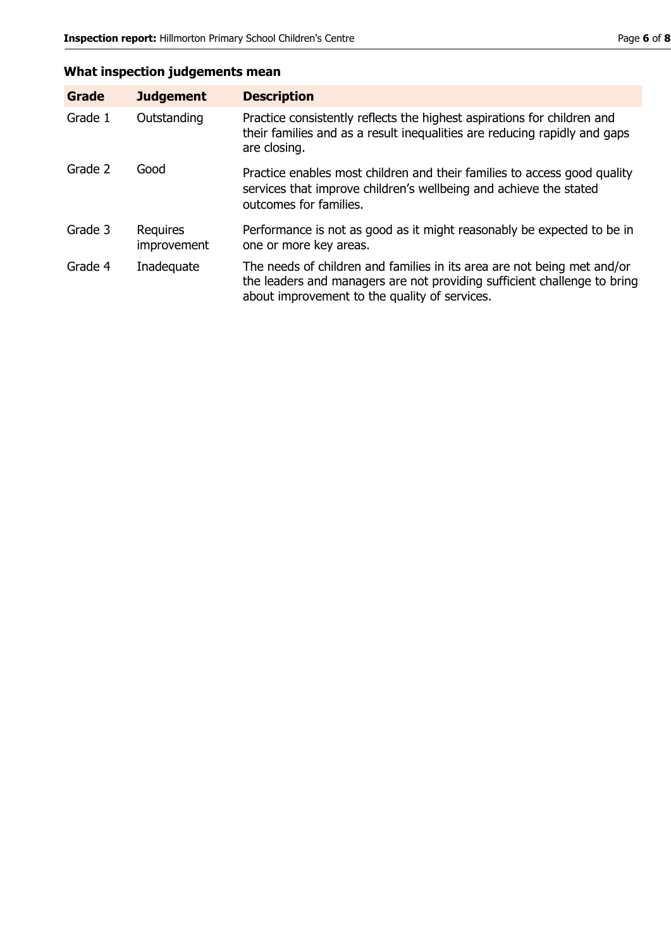# **What inspection judgements mean**

| <b>Grade</b> | <b>Judgement</b>               | <b>Description</b>                                                                                                                                                                                   |
|--------------|--------------------------------|------------------------------------------------------------------------------------------------------------------------------------------------------------------------------------------------------|
| Grade 1      | Outstanding                    | Practice consistently reflects the highest aspirations for children and<br>their families and as a result inequalities are reducing rapidly and gaps<br>are closing.                                 |
| Grade 2      | Good                           | Practice enables most children and their families to access good quality<br>services that improve children's wellbeing and achieve the stated<br>outcomes for families.                              |
| Grade 3      | <b>Requires</b><br>improvement | Performance is not as good as it might reasonably be expected to be in<br>one or more key areas.                                                                                                     |
| Grade 4      | Inadequate                     | The needs of children and families in its area are not being met and/or<br>the leaders and managers are not providing sufficient challenge to bring<br>about improvement to the quality of services. |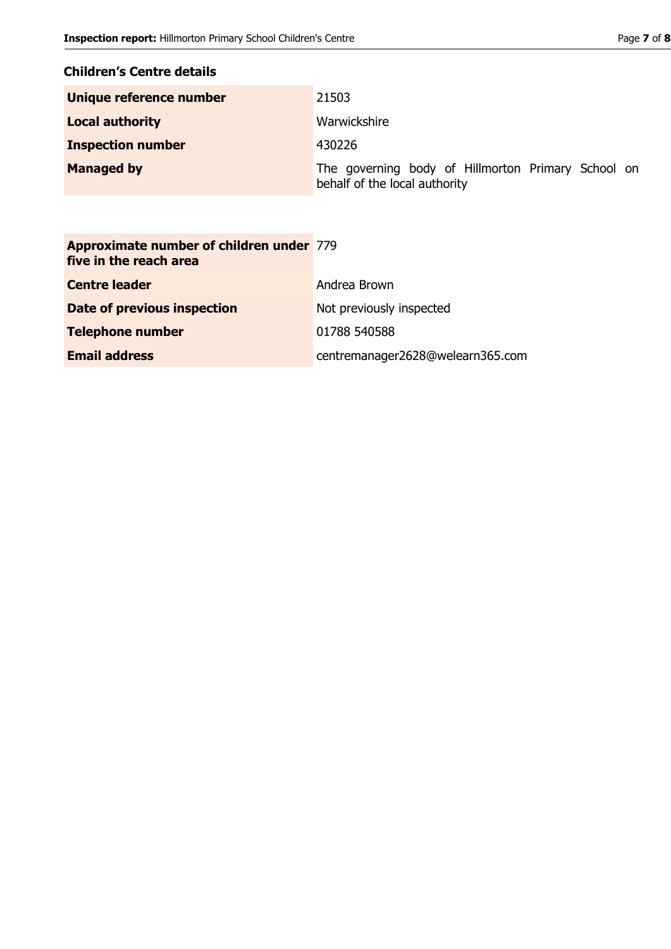# **Children's Centre details**

| Unique reference number  | 21503                                                                               |
|--------------------------|-------------------------------------------------------------------------------------|
| <b>Local authority</b>   | Warwickshire                                                                        |
| <b>Inspection number</b> | 430226                                                                              |
| <b>Managed by</b>        | The governing body of Hillmorton Primary School on<br>behalf of the local authority |

| <b>Approximate number of children under 779</b><br>five in the reach area |                                  |
|---------------------------------------------------------------------------|----------------------------------|
| <b>Centre leader</b>                                                      | Andrea Brown                     |
| Date of previous inspection                                               | Not previously inspected         |
| <b>Telephone number</b>                                                   | 01788 540588                     |
| <b>Email address</b>                                                      | centremanager2628@welearn365.com |